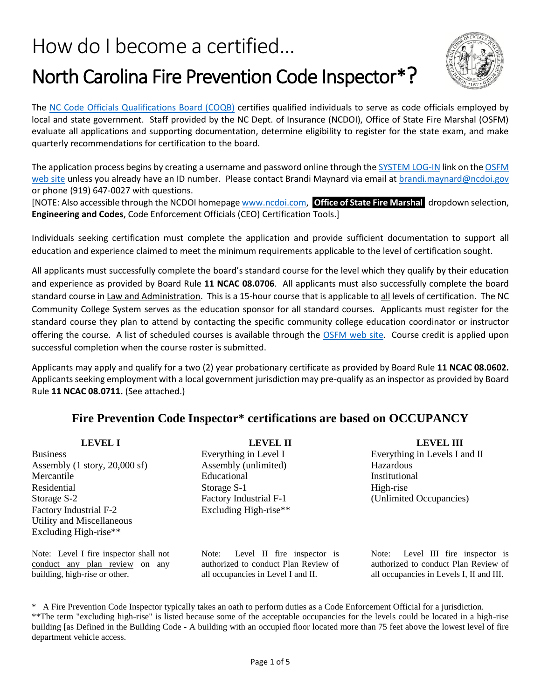# How do I become a certified… North Carolina Fire Prevention Code Inspector\*?



The NC Code [Officials Qualifications Board \(COQB\)](http://www.ncdoi.com/OSFM/Engineering_and_Codes/Default.aspx?field1=Code_Officials_Qualification_Board_USER&user=Code_Officials_Qualification_Board) certifies qualified individuals to serve as code officials employed by local and state government. Staff provided by the NC Dept. of Insurance (NCDOI), Office of State Fire Marshal (OSFM) evaluate all applications and supporting documentation, determine eligibility to register for the state exam, and make quarterly recommendations for certification to the board.

The application process begins by creating a username and password online through th[e SYSTEM LOG-IN](https://apps.ncdoi.net/f?p=114:1:0:::::)) link on th[e OSFM](http://www.ncdoi.com/OSFM/Engineering_and_Codes/Default.aspx?field1=CEO_Certification_Tools_USER&user=CEO_Certification_Tools)  [web site](http://www.ncdoi.com/OSFM/Engineering_and_Codes/Default.aspx?field1=CEO_Certification_Tools_USER&user=CEO_Certification_Tools) unless you already have an ID number. Please contact Brandi Maynard via email a[t brandi.maynard@ncdoi.gov](mailto:brandi.maynard@ncdoi.gov) or phone (919) 647-0027 with questions.

[NOTE: Also accessible through the NCDOI homepag[e www.ncdoi.com,](http://www.ncdoi.com/) **Office of State Fire Marshal** dropdown selection, **Engineering and Codes**, Code Enforcement Officials (CEO) Certification Tools.]

Individuals seeking certification must complete the application and provide sufficient documentation to support all education and experience claimed to meet the minimum requirements applicable to the level of certification sought.

All applicants must successfully complete the board's standard course for the level which they qualify by their education and experience as provided by Board Rule **11 NCAC 08.0706**. All applicants must also successfully complete the board standard course in Law and Administration. This is a 15-hour course that is applicable to all levels of certification. The NC Community College System serves as the education sponsor for all standard courses. Applicants must register for the standard course they plan to attend by contacting the specific community college education coordinator or instructor offering the course. A list of scheduled courses is available through the [OSFM web site.](https://apps.ncdoi.net/f?p=114:505%20:0:::::) Course credit is applied upon successful completion when the course roster is submitted.

Applicants may apply and qualify for a two (2) year probationary certificate as provided by Board Rule **11 NCAC 08.0602.**  Applicants seeking employment with a local government jurisdiction may pre-qualify as an inspector as provided by Board Rule **11 NCAC 08.0711.** (See attached.)

### **Fire Prevention Code Inspector\* certifications are based on OCCUPANCY**

**LEVEL I** Business Assembly (1 story, 20,000 sf) Mercantile Residential Storage S-2 Factory Industrial F-2 Utility and Miscellaneous Excluding High-rise\*\*

Note: Level I fire inspector shall not conduct any plan review on any building, high-rise or other.

**LEVEL II** Everything in Level I Assembly (unlimited) Educational Storage S-1 Factory Industrial F-1 Excluding High-rise\*\*

Note: Level II fire inspector is authorized to conduct Plan Review of all occupancies in Level I and II.

**LEVEL III** Everything in Levels I and II Hazardous Institutional High-rise (Unlimited Occupancies)

Note: Level III fire inspector is authorized to conduct Plan Review of all occupancies in Levels I, II and III.

\* A Fire Prevention Code Inspector typically takes an oath to perform duties as a Code Enforcement Official for a jurisdiction. \*\*The term "excluding high-rise" is listed because some of the acceptable occupancies for the levels could be located in a high-rise building [as Defined in the Building Code - A building with an occupied floor located more than 75 feet above the lowest level of fire department vehicle access.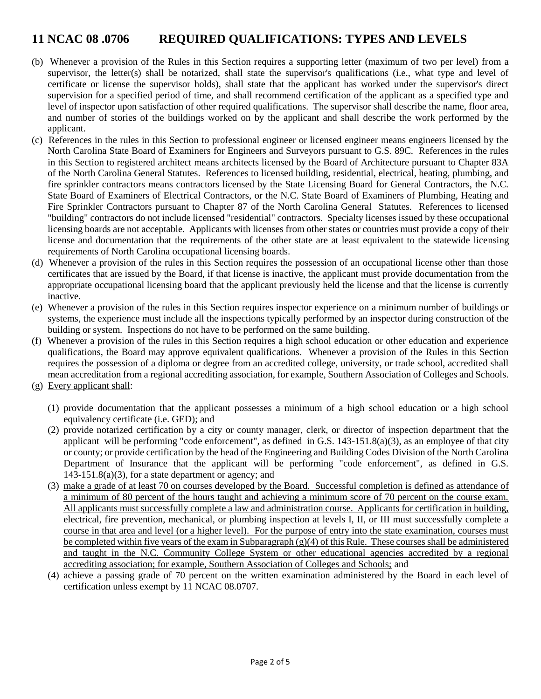## **11 NCAC 08 .0706 REQUIRED QUALIFICATIONS: TYPES AND LEVELS**

- (b) Whenever a provision of the Rules in this Section requires a supporting letter (maximum of two per level) from a supervisor, the letter(s) shall be notarized, shall state the supervisor's qualifications (i.e., what type and level of certificate or license the supervisor holds), shall state that the applicant has worked under the supervisor's direct supervision for a specified period of time, and shall recommend certification of the applicant as a specified type and level of inspector upon satisfaction of other required qualifications. The supervisor shall describe the name, floor area, and number of stories of the buildings worked on by the applicant and shall describe the work performed by the applicant.
- (c) References in the rules in this Section to professional engineer or licensed engineer means engineers licensed by the North Carolina State Board of Examiners for Engineers and Surveyors pursuant to G.S. 89C. References in the rules in this Section to registered architect means architects licensed by the Board of Architecture pursuant to Chapter 83A of the North Carolina General Statutes. References to licensed building, residential, electrical, heating, plumbing, and fire sprinkler contractors means contractors licensed by the State Licensing Board for General Contractors, the N.C. State Board of Examiners of Electrical Contractors, or the N.C. State Board of Examiners of Plumbing, Heating and Fire Sprinkler Contractors pursuant to Chapter 87 of the North Carolina General Statutes. References to licensed "building" contractors do not include licensed "residential" contractors. Specialty licenses issued by these occupational licensing boards are not acceptable. Applicants with licenses from other states or countries must provide a copy of their license and documentation that the requirements of the other state are at least equivalent to the statewide licensing requirements of North Carolina occupational licensing boards.
- (d) Whenever a provision of the rules in this Section requires the possession of an occupational license other than those certificates that are issued by the Board, if that license is inactive, the applicant must provide documentation from the appropriate occupational licensing board that the applicant previously held the license and that the license is currently inactive.
- (e) Whenever a provision of the rules in this Section requires inspector experience on a minimum number of buildings or systems, the experience must include all the inspections typically performed by an inspector during construction of the building or system. Inspections do not have to be performed on the same building.
- (f) Whenever a provision of the rules in this Section requires a high school education or other education and experience qualifications, the Board may approve equivalent qualifications. Whenever a provision of the Rules in this Section requires the possession of a diploma or degree from an accredited college, university, or trade school, accredited shall mean accreditation from a regional accrediting association, for example, Southern Association of Colleges and Schools.
- (g) Every applicant shall:
	- (1) provide documentation that the applicant possesses a minimum of a high school education or a high school equivalency certificate (i.e. GED); and
	- (2) provide notarized certification by a city or county manager, clerk, or director of inspection department that the applicant will be performing "code enforcement", as defined in G.S.  $143-151.8(a)(3)$ , as an employee of that city or county; or provide certification by the head of the Engineering and Building Codes Division of the North Carolina Department of Insurance that the applicant will be performing "code enforcement", as defined in G.S.  $143-151.8(a)(3)$ , for a state department or agency; and
	- (3) make a grade of at least 70 on courses developed by the Board. Successful completion is defined as attendance of a minimum of 80 percent of the hours taught and achieving a minimum score of 70 percent on the course exam. All applicants must successfully complete a law and administration course. Applicants for certification in building, electrical, fire prevention, mechanical, or plumbing inspection at levels I, II, or III must successfully complete a course in that area and level (or a higher level). For the purpose of entry into the state examination, courses must be completed within five years of the exam in Subparagraph (g)(4) of this Rule. These courses shall be administered and taught in the N.C. Community College System or other educational agencies accredited by a regional accrediting association; for example, Southern Association of Colleges and Schools; and
	- (4) achieve a passing grade of 70 percent on the written examination administered by the Board in each level of certification unless exempt by 11 NCAC 08.0707.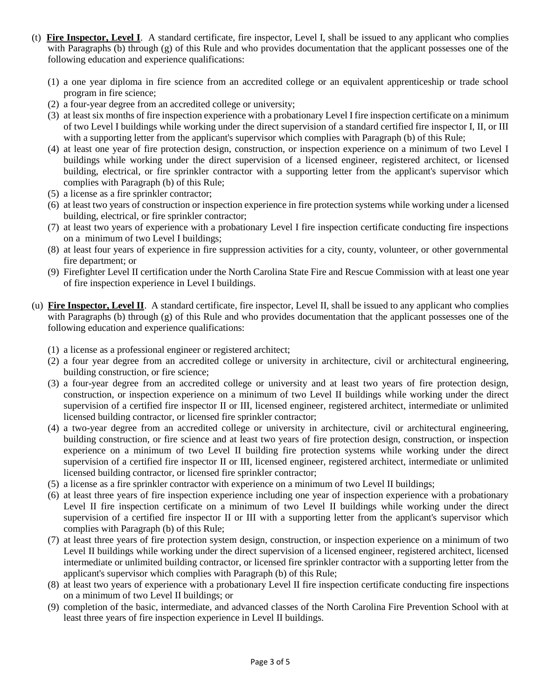- (t) **Fire Inspector, Level I**. A standard certificate, fire inspector, Level I, shall be issued to any applicant who complies with Paragraphs (b) through (g) of this Rule and who provides documentation that the applicant possesses one of the following education and experience qualifications:
	- (1) a one year diploma in fire science from an accredited college or an equivalent apprenticeship or trade school program in fire science;
	- (2) a four-year degree from an accredited college or university;
	- (3) at least six months of fire inspection experience with a probationary Level I fire inspection certificate on a minimum of two Level I buildings while working under the direct supervision of a standard certified fire inspector I, II, or III with a supporting letter from the applicant's supervisor which complies with Paragraph (b) of this Rule;
	- (4) at least one year of fire protection design, construction, or inspection experience on a minimum of two Level I buildings while working under the direct supervision of a licensed engineer, registered architect, or licensed building, electrical, or fire sprinkler contractor with a supporting letter from the applicant's supervisor which complies with Paragraph (b) of this Rule;
	- (5) a license as a fire sprinkler contractor;
	- (6) at least two years of construction or inspection experience in fire protection systems while working under a licensed building, electrical, or fire sprinkler contractor;
	- (7) at least two years of experience with a probationary Level I fire inspection certificate conducting fire inspections on a minimum of two Level I buildings;
	- (8) at least four years of experience in fire suppression activities for a city, county, volunteer, or other governmental fire department; or
	- (9) Firefighter Level II certification under the North Carolina State Fire and Rescue Commission with at least one year of fire inspection experience in Level I buildings.
- (u) **Fire Inspector, Level II**. A standard certificate, fire inspector, Level II, shall be issued to any applicant who complies with Paragraphs (b) through (g) of this Rule and who provides documentation that the applicant possesses one of the following education and experience qualifications:
	- (1) a license as a professional engineer or registered architect;
	- (2) a four year degree from an accredited college or university in architecture, civil or architectural engineering, building construction, or fire science;
	- (3) a four-year degree from an accredited college or university and at least two years of fire protection design, construction, or inspection experience on a minimum of two Level II buildings while working under the direct supervision of a certified fire inspector II or III, licensed engineer, registered architect, intermediate or unlimited licensed building contractor, or licensed fire sprinkler contractor;
	- (4) a two-year degree from an accredited college or university in architecture, civil or architectural engineering, building construction, or fire science and at least two years of fire protection design, construction, or inspection experience on a minimum of two Level II building fire protection systems while working under the direct supervision of a certified fire inspector II or III, licensed engineer, registered architect, intermediate or unlimited licensed building contractor, or licensed fire sprinkler contractor;
	- (5) a license as a fire sprinkler contractor with experience on a minimum of two Level II buildings;
	- (6) at least three years of fire inspection experience including one year of inspection experience with a probationary Level II fire inspection certificate on a minimum of two Level II buildings while working under the direct supervision of a certified fire inspector II or III with a supporting letter from the applicant's supervisor which complies with Paragraph (b) of this Rule;
	- (7) at least three years of fire protection system design, construction, or inspection experience on a minimum of two Level II buildings while working under the direct supervision of a licensed engineer, registered architect, licensed intermediate or unlimited building contractor, or licensed fire sprinkler contractor with a supporting letter from the applicant's supervisor which complies with Paragraph (b) of this Rule;
	- (8) at least two years of experience with a probationary Level II fire inspection certificate conducting fire inspections on a minimum of two Level II buildings; or
	- (9) completion of the basic, intermediate, and advanced classes of the North Carolina Fire Prevention School with at least three years of fire inspection experience in Level II buildings.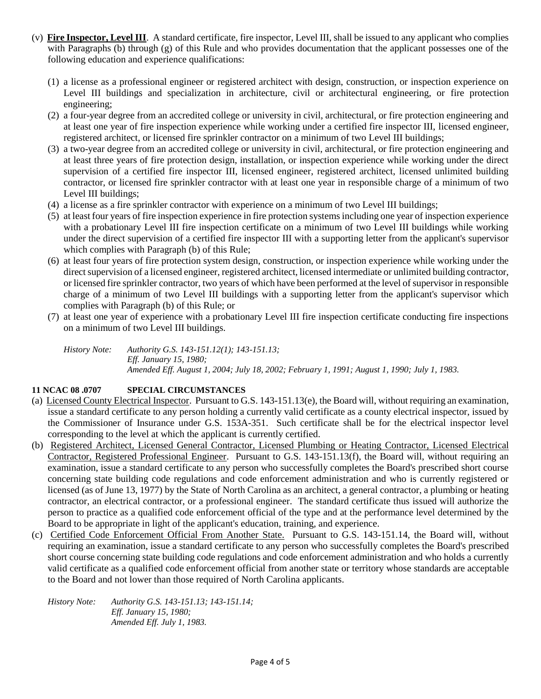- (v) **Fire Inspector, Level III**. A standard certificate, fire inspector, Level III, shall be issued to any applicant who complies with Paragraphs (b) through (g) of this Rule and who provides documentation that the applicant possesses one of the following education and experience qualifications:
	- (1) a license as a professional engineer or registered architect with design, construction, or inspection experience on Level III buildings and specialization in architecture, civil or architectural engineering, or fire protection engineering;
	- (2) a four-year degree from an accredited college or university in civil, architectural, or fire protection engineering and at least one year of fire inspection experience while working under a certified fire inspector III, licensed engineer, registered architect, or licensed fire sprinkler contractor on a minimum of two Level III buildings;
	- (3) a two-year degree from an accredited college or university in civil, architectural, or fire protection engineering and at least three years of fire protection design, installation, or inspection experience while working under the direct supervision of a certified fire inspector III, licensed engineer, registered architect, licensed unlimited building contractor, or licensed fire sprinkler contractor with at least one year in responsible charge of a minimum of two Level III buildings;
	- (4) a license as a fire sprinkler contractor with experience on a minimum of two Level III buildings;
	- (5) at least four years of fire inspection experience in fire protection systems including one year of inspection experience with a probationary Level III fire inspection certificate on a minimum of two Level III buildings while working under the direct supervision of a certified fire inspector III with a supporting letter from the applicant's supervisor which complies with Paragraph (b) of this Rule;
	- (6) at least four years of fire protection system design, construction, or inspection experience while working under the direct supervision of a licensed engineer, registered architect, licensed intermediate or unlimited building contractor, or licensed fire sprinkler contractor, two years of which have been performed at the level of supervisor in responsible charge of a minimum of two Level III buildings with a supporting letter from the applicant's supervisor which complies with Paragraph (b) of this Rule; or
	- (7) at least one year of experience with a probationary Level III fire inspection certificate conducting fire inspections on a minimum of two Level III buildings.

*History Note: Authority G.S. 143-151.12(1); 143-151.13; Eff. January 15, 1980; Amended Eff. August 1, 2004; July 18, 2002; February 1, 1991; August 1, 1990; July 1, 1983.*

#### **11 NCAC 08 .0707 SPECIAL CIRCUMSTANCES**

- (a) Licensed County Electrical Inspector. Pursuant to G.S. 143-151.13(e), the Board will, without requiring an examination, issue a standard certificate to any person holding a currently valid certificate as a county electrical inspector, issued by the Commissioner of Insurance under G.S. 153A-351. Such certificate shall be for the electrical inspector level corresponding to the level at which the applicant is currently certified.
- (b) Registered Architect, Licensed General Contractor, Licensed Plumbing or Heating Contractor, Licensed Electrical Contractor, Registered Professional Engineer. Pursuant to G.S. 143-151.13(f), the Board will, without requiring an examination, issue a standard certificate to any person who successfully completes the Board's prescribed short course concerning state building code regulations and code enforcement administration and who is currently registered or licensed (as of June 13, 1977) by the State of North Carolina as an architect, a general contractor, a plumbing or heating contractor, an electrical contractor, or a professional engineer. The standard certificate thus issued will authorize the person to practice as a qualified code enforcement official of the type and at the performance level determined by the Board to be appropriate in light of the applicant's education, training, and experience.
- (c) Certified Code Enforcement Official From Another State. Pursuant to G.S. 143-151.14, the Board will, without requiring an examination, issue a standard certificate to any person who successfully completes the Board's prescribed short course concerning state building code regulations and code enforcement administration and who holds a currently valid certificate as a qualified code enforcement official from another state or territory whose standards are acceptable to the Board and not lower than those required of North Carolina applicants.

*History Note: Authority G.S. 143-151.13; 143-151.14; Eff. January 15, 1980; Amended Eff. July 1, 1983.*